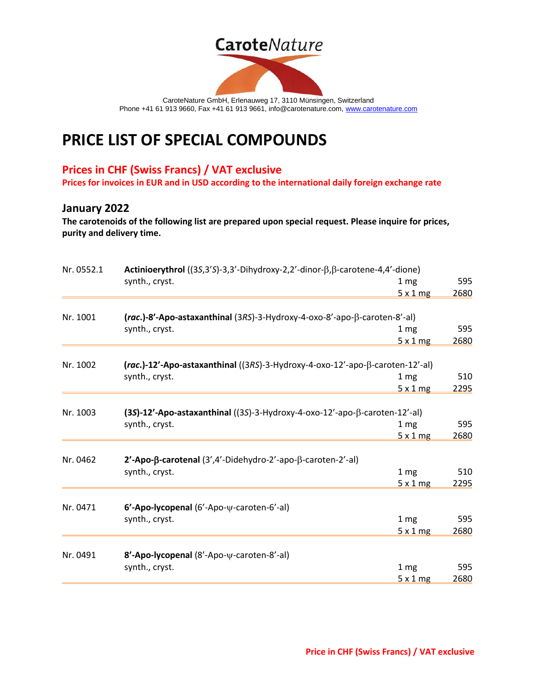# **Carote**Nature



CaroteNature GmbH, Erlenauweg 17, 3110 Münsingen, Switzerland Phone +41 61 913 9660, Fax +41 61 913 9661, info@carotenature.com, [www.carotenature.com](http://www.carotenature.com/)

## **PRICE LIST OF SPECIAL COMPOUNDS**

### **Prices in CHF (Swiss Francs) / VAT exclusive**

**Prices for invoices in EUR and in USD according to the international daily foreign exchange rate**

#### **January 2022**

**The carotenoids of the following list are prepared upon special request. Please inquire for prices, purity and delivery time.**

| Nr. 0552.1 | Actinioerythrol ((3S,3'S)-3,3'-Dihydroxy-2,2'-dinor-β,β-carotene-4,4'-dione)       |                 |      |  |  |
|------------|------------------------------------------------------------------------------------|-----------------|------|--|--|
|            | synth., cryst.                                                                     | 1 <sub>mg</sub> | 595  |  |  |
|            |                                                                                    | 5x1mg           | 2680 |  |  |
|            |                                                                                    |                 |      |  |  |
| Nr. 1001   | (rac.)-8'-Apo-astaxanthinal (3RS)-3-Hydroxy-4-oxo-8'-apo-β-caroten-8'-al)          |                 |      |  |  |
|            | synth., cryst.                                                                     | 1 <sub>mg</sub> | 595  |  |  |
|            |                                                                                    | 5x1mg           | 2680 |  |  |
| Nr. 1002   | (rac.)-12'-Apo-astaxanthinal ((3RS)-3-Hydroxy-4-oxo-12'-apo-β-caroten-12'-al)      |                 |      |  |  |
|            | synth., cryst.                                                                     | 1 mg            | 510  |  |  |
|            |                                                                                    | 5x1mg           | 2295 |  |  |
|            |                                                                                    |                 |      |  |  |
| Nr. 1003   | (3S)-12'-Apo-astaxanthinal ((3S)-3-Hydroxy-4-oxo-12'-apo- $\beta$ -caroten-12'-al) |                 |      |  |  |
|            | synth., cryst.                                                                     | 1 <sub>mg</sub> | 595  |  |  |
|            |                                                                                    | 5x1mg           | 2680 |  |  |
| Nr. 0462   | $2'$ -Apo- $\beta$ -carotenal (3',4'-Didehydro-2'-apo- $\beta$ -caroten-2'-al)     |                 |      |  |  |
|            | synth., cryst.                                                                     | 1 mg            | 510  |  |  |
|            |                                                                                    | 5x1mg           | 2295 |  |  |
|            |                                                                                    |                 |      |  |  |
| Nr. 0471   | 6'-Apo-lycopenal (6'-Apo- $\psi$ -caroten-6'-al)                                   |                 |      |  |  |
|            | synth., cryst.                                                                     | 1 <sub>mg</sub> | 595  |  |  |
|            |                                                                                    | 5x1mg           | 2680 |  |  |
| Nr. 0491   | 8'-Apo-lycopenal (8'-Apo-y-caroten-8'-al)                                          |                 |      |  |  |
|            | synth., cryst.                                                                     | 1 <sub>mg</sub> | 595  |  |  |
|            |                                                                                    | 5x1mg           | 2680 |  |  |
|            |                                                                                    |                 |      |  |  |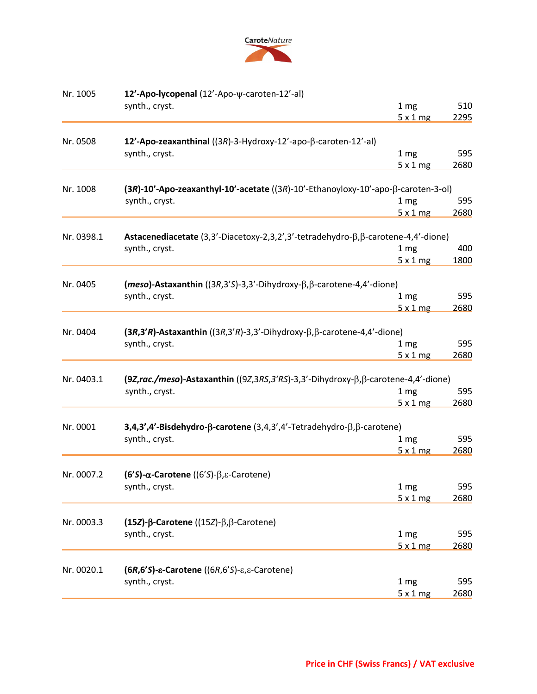

| Nr. 1005   | 12'-Apo-lycopenal (12'-Apo-y-caroten-12'-al)                                                    |                          |      |
|------------|-------------------------------------------------------------------------------------------------|--------------------------|------|
|            | synth., cryst.                                                                                  | 1 <sub>mg</sub>          | 510  |
|            |                                                                                                 | 5x1mg                    | 2295 |
|            |                                                                                                 |                          |      |
| Nr. 0508   | 12'-Apo-zeaxanthinal ((3R)-3-Hydroxy-12'-apo- $\beta$ -caroten-12'-al)                          |                          |      |
|            | synth., cryst.                                                                                  | 1 <sub>mg</sub>          | 595  |
|            |                                                                                                 | 5x1mg                    | 2680 |
| Nr. 1008   | $(3R)$ -10'-Apo-zeaxanthyl-10'-acetate $((3R)$ -10'-Ethanoyloxy-10'-apo- $\beta$ -caroten-3-ol) |                          |      |
|            | synth., cryst.                                                                                  | 1 <sub>mg</sub>          | 595  |
|            |                                                                                                 | 5x1mg                    | 2680 |
|            |                                                                                                 |                          |      |
| Nr. 0398.1 | Astacenediacetate (3,3'-Diacetoxy-2,3,2',3'-tetradehydro-β,β-carotene-4,4'-dione)               |                          |      |
|            | synth., cryst.                                                                                  | 1 <sub>mg</sub>          | 400  |
|            |                                                                                                 | 5x1mg                    | 1800 |
|            |                                                                                                 |                          |      |
| Nr. 0405   | $(meso)$ -Astaxanthin ((3R,3'S)-3,3'-Dihydroxy- $\beta$ , $\beta$ -carotene-4,4'-dione)         |                          | 595  |
|            | synth., cryst.                                                                                  | 1 <sub>mg</sub><br>5x1mg | 2680 |
|            |                                                                                                 |                          |      |
| Nr. 0404   | $(3R,3'R)$ -Astaxanthin $((3R,3'R)$ -3,3'-Dihydroxy- $\beta$ , $\beta$ -carotene-4,4'-dione)    |                          |      |
|            | synth., cryst.                                                                                  | 1 <sub>mg</sub>          | 595  |
|            |                                                                                                 | 5x1mg                    | 2680 |
|            |                                                                                                 |                          |      |
| Nr. 0403.1 | (9Z,rac./meso)-Astaxanthin ((9Z,3RS,3'RS)-3,3'-Dihydroxy-β,β-carotene-4,4'-dione)               |                          |      |
|            | synth., cryst.                                                                                  | 1 <sub>mg</sub>          | 595  |
|            |                                                                                                 | 5x1mg                    | 2680 |
|            |                                                                                                 |                          |      |
| Nr. 0001   | 3,4,3',4'-Bisdehydro-β-carotene (3,4,3',4'-Tetradehydro-β,β-carotene)                           |                          |      |
|            | synth., cryst.                                                                                  | 1 mg                     | 595  |
|            |                                                                                                 | 5x1mg                    | 2680 |
|            |                                                                                                 |                          |      |
| Nr. 0007.2 | $(6'S)-\alpha$ -Carotene $((6'S)-\beta,\varepsilon$ -Carotene)                                  |                          |      |
|            | synth., cryst.                                                                                  | 1 <sub>mg</sub>          | 595  |
|            |                                                                                                 | 5x1mg                    | 2680 |
|            |                                                                                                 |                          |      |
| Nr. 0003.3 | (15 <i>Z</i> )-β-Carotene ((15 <i>Z</i> )- $\beta$ , $\beta$ -Carotene)                         |                          |      |
|            | synth., cryst.                                                                                  | 1 <sub>mg</sub>          | 595  |
|            |                                                                                                 | 5x1mg                    | 2680 |
| Nr. 0020.1 |                                                                                                 |                          |      |
|            | $(6R, 6'S)$ - $\varepsilon$ -Carotene ((6R,6'S)- $\varepsilon$ , $\varepsilon$ -Carotene)       | 1 <sub>mg</sub>          | 595  |
|            | synth., cryst.                                                                                  |                          |      |
|            |                                                                                                 | 5x1mg                    | 2680 |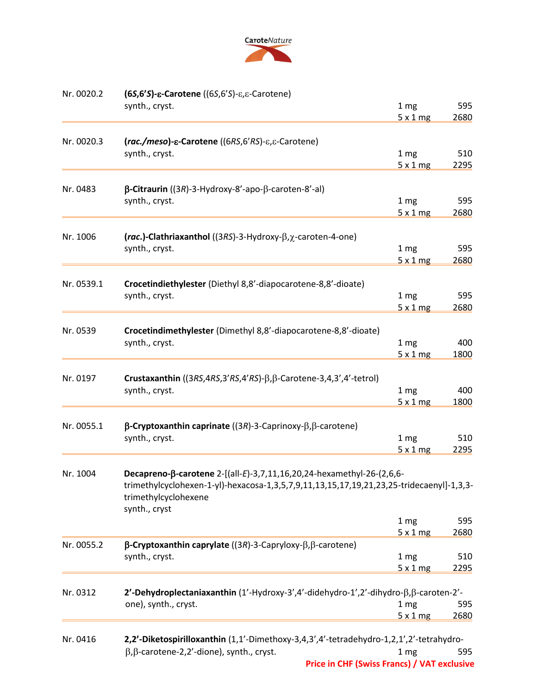

| Nr. 0020.2 | $(65, 6's)$ - $\varepsilon$ -Carotene ((6S,6'S)- $\varepsilon$ , $\varepsilon$ -Carotene)                                         |                 |             |
|------------|-----------------------------------------------------------------------------------------------------------------------------------|-----------------|-------------|
|            | synth., cryst.                                                                                                                    | 1 mg<br>5x1mg   | 595<br>2680 |
| Nr. 0020.3 | (rac./meso)-ε-Carotene ((6RS,6'RS)-ε,ε-Carotene)                                                                                  |                 |             |
|            | synth., cryst.                                                                                                                    | 1 mg            | 510         |
|            |                                                                                                                                   | 5x1mg           | 2295        |
|            |                                                                                                                                   |                 |             |
| Nr. 0483   | $\beta$ -Citraurin ((3R)-3-Hydroxy-8'-apo- $\beta$ -caroten-8'-al)<br>synth., cryst.                                              | 1 mg            | 595         |
|            |                                                                                                                                   | 5x1mg           | 2680        |
|            |                                                                                                                                   |                 |             |
| Nr. 1006   | $rac{lnc.}$ -Clathriaxanthol ((3RS)-3-Hydroxy- $\beta$ , $\chi$ -caroten-4-one)                                                   |                 |             |
|            | synth., cryst.                                                                                                                    | 1 mg            | 595         |
|            |                                                                                                                                   | 5x1mg           | 2680        |
| Nr. 0539.1 | Crocetindiethylester (Diethyl 8,8'-diapocarotene-8,8'-dioate)                                                                     |                 |             |
|            | synth., cryst.                                                                                                                    | 1 <sub>mg</sub> | 595         |
|            |                                                                                                                                   | 5x1mg           | 2680        |
|            |                                                                                                                                   |                 |             |
| Nr. 0539   | Crocetindimethylester (Dimethyl 8,8'-diapocarotene-8,8'-dioate)                                                                   |                 |             |
|            | synth., cryst.                                                                                                                    | 1 mg            | 400         |
|            |                                                                                                                                   | 5x1mg           | 1800        |
| Nr. 0197   | Crustaxanthin ( $(3RS, 4RS, 3'RS, 4'RS) - \beta, \beta$ -Carotene-3,4,3',4'-tetrol)                                               |                 |             |
|            | synth., cryst.                                                                                                                    | 1 mg            | 400         |
|            |                                                                                                                                   | 5x1mg           | 1800        |
|            |                                                                                                                                   |                 |             |
| Nr. 0055.1 | $\beta$ -Cryptoxanthin caprinate ((3R)-3-Caprinoxy- $\beta$ , $\beta$ -carotene)                                                  |                 |             |
|            | synth., cryst.                                                                                                                    | 1 mg<br>5x1mg   | 510<br>2295 |
|            |                                                                                                                                   |                 |             |
| Nr. 1004   | Decapreno-β-carotene 2-[(all-E)-3,7,11,16,20,24-hexamethyl-26-(2,6,6-                                                             |                 |             |
|            | trimethylcyclohexen-1-yl)-hexacosa-1,3,5,7,9,11,13,15,17,19,21,23,25-tridecaenyl]-1,3,3-<br>trimethylcyclohexene<br>synth., cryst |                 |             |
|            |                                                                                                                                   | 1 mg            | 595         |
|            |                                                                                                                                   | 5x1mg           | 2680        |
| Nr. 0055.2 | $\beta$ -Cryptoxanthin caprylate ((3R)-3-Capryloxy- $\beta$ , $\beta$ -carotene)                                                  |                 |             |
|            | synth., cryst.                                                                                                                    | 1 mg            | 510         |
|            |                                                                                                                                   | 5x1mg           | 2295        |
| Nr. 0312   | 2'-Dehydroplectaniaxanthin (1'-Hydroxy-3',4'-didehydro-1',2'-dihydro-β,β-caroten-2'-                                              |                 |             |
|            | one), synth., cryst.                                                                                                              | 1 mg            | 595         |
|            |                                                                                                                                   | 5x1mg           | 2680        |
|            |                                                                                                                                   |                 |             |
| Nr. 0416   | 2,2'-Diketospirilloxanthin (1,1'-Dimethoxy-3,4,3',4'-tetradehydro-1,2,1',2'-tetrahydro-                                           |                 |             |
|            | $\beta$ , $\beta$ -carotene-2,2'-dione), synth., cryst.                                                                           | 1 mg            | 595         |
|            | <b>Price in CHF (Swiss Francs) / VAT exclusive</b>                                                                                |                 |             |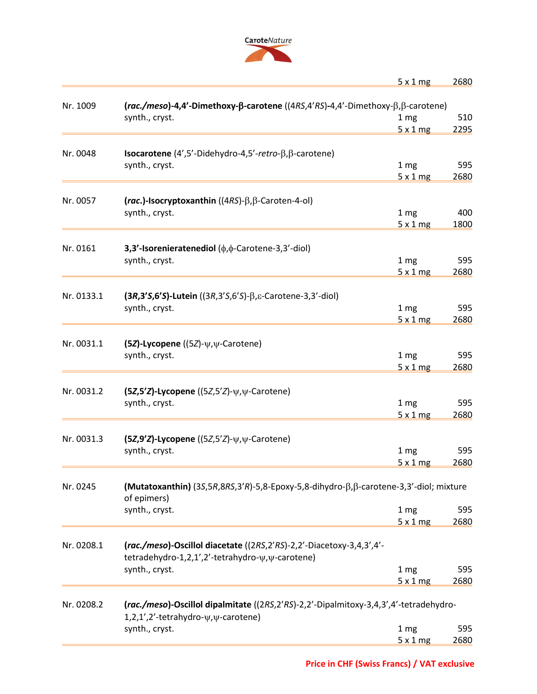

| $5 \times 1$ mg | 2680 |
|-----------------|------|
|-----------------|------|

| Nr. 1009   | (rac./meso)-4,4'-Dimethoxy-β-carotene ((4RS,4'RS)-4,4'-Dimethoxy-β,β-carotene)        |                 |      |  |  |
|------------|---------------------------------------------------------------------------------------|-----------------|------|--|--|
|            | synth., cryst.                                                                        | 1 <sub>mg</sub> | 510  |  |  |
|            |                                                                                       | 5x1mg           | 2295 |  |  |
|            |                                                                                       |                 |      |  |  |
| Nr. 0048   | <b>Isocarotene</b> $(4', 5'$ -Didehydro-4,5'-retro- $\beta$ , $\beta$ -carotene)      |                 |      |  |  |
|            | synth., cryst.                                                                        | 1 <sub>mg</sub> | 595  |  |  |
|            |                                                                                       | 5x1mg           | 2680 |  |  |
|            |                                                                                       |                 |      |  |  |
| Nr. 0057   | (rac.)-Isocryptoxanthin $((4RS)-\beta,\beta$ -Caroten-4-ol)                           |                 |      |  |  |
|            | synth., cryst.                                                                        | 1 <sub>mg</sub> | 400  |  |  |
|            |                                                                                       | 5x1mg           | 1800 |  |  |
| Nr. 0161   |                                                                                       |                 |      |  |  |
|            | 3,3'-Isorenieratenediol $(\phi, \phi$ -Carotene-3,3'-diol)                            |                 |      |  |  |
|            | synth., cryst.                                                                        | 1 <sub>mg</sub> | 595  |  |  |
|            |                                                                                       | 5x1mg           | 2680 |  |  |
| Nr. 0133.1 | $(3R,3'S,6'S)$ -Lutein $((3R,3'S,6'S)$ - $\beta$ , $\epsilon$ -Carotene-3,3'-diol)    |                 |      |  |  |
|            |                                                                                       |                 | 595  |  |  |
|            | synth., cryst.                                                                        | 1 <sub>mg</sub> |      |  |  |
|            |                                                                                       | 5x1mg           | 2680 |  |  |
| Nr. 0031.1 | (5Z)-Lycopene ((5Z)- $\psi, \psi$ -Carotene)                                          |                 |      |  |  |
|            | synth., cryst.                                                                        | 1 <sub>mg</sub> | 595  |  |  |
|            |                                                                                       | 5x1mg           | 2680 |  |  |
|            |                                                                                       |                 |      |  |  |
| Nr. 0031.2 | $(5Z,5'Z)$ -Lycopene $((5Z,5'Z)$ - $\psi, \psi$ -Carotene)                            |                 |      |  |  |
|            | synth., cryst.                                                                        | 1 mg            | 595  |  |  |
|            |                                                                                       | 5x1mg           | 2680 |  |  |
|            |                                                                                       |                 |      |  |  |
| Nr. 0031.3 | $(5Z,9'Z)$ -Lycopene $((5Z,5'Z)$ - $\psi, \psi$ -Carotene)                            |                 |      |  |  |
|            | synth., cryst.                                                                        | 1 mg            | 595  |  |  |
|            |                                                                                       | 5x1mg           | 2680 |  |  |
|            |                                                                                       |                 |      |  |  |
| Nr. 0245   | (Mutatoxanthin) (3S,5R,8RS,3'R)-5,8-Epoxy-5,8-dihydro-β,β-carotene-3,3'-diol; mixture |                 |      |  |  |
|            | of epimers)                                                                           |                 |      |  |  |
|            | synth., cryst.                                                                        | 1 mg            | 595  |  |  |
|            |                                                                                       | 5x1mg           | 2680 |  |  |
|            |                                                                                       |                 |      |  |  |
| Nr. 0208.1 | (rac./meso)-Oscillol diacetate ((2RS,2'RS)-2,2'-Diacetoxy-3,4,3',4'-                  |                 |      |  |  |
|            | tetradehydro-1,2,1',2'-tetrahydro- $\psi$ , $\psi$ -carotene)                         |                 |      |  |  |
|            | synth., cryst.                                                                        | 1 mg            | 595  |  |  |
|            |                                                                                       | 5x1mg           | 2680 |  |  |
|            |                                                                                       |                 |      |  |  |
| Nr. 0208.2 | (rac./meso)-Oscillol dipalmitate ((2RS,2'RS)-2,2'-Dipalmitoxy-3,4,3',4'-tetradehydro- |                 |      |  |  |
|            | 1,2,1',2'-tetrahydro- $\psi$ , $\psi$ -carotene)                                      |                 |      |  |  |
|            | synth., cryst.                                                                        | 1 mg            | 595  |  |  |
|            |                                                                                       | 5x1mg           | 2680 |  |  |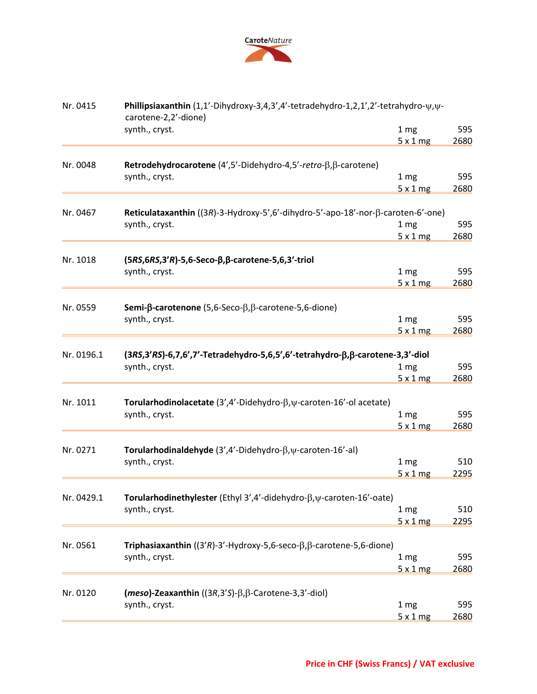

| Nr. 0415   | Phillipsiaxanthin (1,1'-Dihydroxy-3,4,3',4'-tetradehydro-1,2,1',2'-tetrahydro- $\psi$ , $\psi$ -<br>carotene-2,2'-dione) |                          |             |  |  |
|------------|--------------------------------------------------------------------------------------------------------------------------|--------------------------|-------------|--|--|
|            | synth., cryst.                                                                                                           | 1 <sub>mg</sub><br>5x1mg | 595<br>2680 |  |  |
| Nr. 0048   | Retrodehydrocarotene $(4',5'-Didehydro-4,5'-retro-\beta,\beta-carotene)$                                                 |                          |             |  |  |
|            | synth., cryst.                                                                                                           | 1 mg                     | 595         |  |  |
|            |                                                                                                                          | 5x1mg                    | 2680        |  |  |
|            |                                                                                                                          |                          |             |  |  |
| Nr. 0467   | Reticulataxanthin ((3R)-3-Hydroxy-5',6'-dihydro-5'-apo-18'-nor- $\beta$ -caroten-6'-one)                                 |                          |             |  |  |
|            | synth., cryst.                                                                                                           | 1 <sub>mg</sub>          | 595         |  |  |
|            |                                                                                                                          | 5x1mg                    | 2680        |  |  |
| Nr. 1018   | $(5RS, 6RS, 3'R)$ -5,6-Seco- $\beta$ , $\beta$ -carotene-5,6,3'-triol                                                    |                          |             |  |  |
|            | synth., cryst.                                                                                                           | 1 <sub>mg</sub>          | 595         |  |  |
|            |                                                                                                                          | 5x1mg                    | 2680        |  |  |
|            |                                                                                                                          |                          |             |  |  |
| Nr. 0559   | <b>Semi-<math>\beta</math>-carotenone</b> (5,6-Seco- $\beta$ , $\beta$ -carotene-5,6-dione)                              |                          |             |  |  |
|            | synth., cryst.                                                                                                           | 1 <sub>mg</sub>          | 595         |  |  |
|            |                                                                                                                          | 5x1mg                    | 2680        |  |  |
| Nr. 0196.1 | (3RS,3'RS)-6,7,6',7'-Tetradehydro-5,6,5',6'-tetrahydro-β,β-carotene-3,3'-diol                                            |                          |             |  |  |
|            | synth., cryst.                                                                                                           | 1 <sub>mg</sub>          | 595         |  |  |
|            |                                                                                                                          | 5x1mg                    | 2680        |  |  |
| Nr. 1011   | Torularhodinolacetate (3',4'-Didehydro- $\beta$ , $\psi$ -caroten-16'-ol acetate)                                        |                          |             |  |  |
|            | synth., cryst.                                                                                                           | 1 <sub>mg</sub>          | 595         |  |  |
|            |                                                                                                                          | 5x1mg                    | 2680        |  |  |
| Nr. 0271   | Torularhodinaldehyde (3',4'-Didehydro- $\beta$ , y-caroten-16'-al)                                                       |                          |             |  |  |
|            | synth., cryst.                                                                                                           | 1 <sub>mg</sub>          | 510         |  |  |
|            |                                                                                                                          | 5x1mg                    | 2295        |  |  |
|            |                                                                                                                          |                          |             |  |  |
| Nr. 0429.1 | <b>Torularhodinethylester</b> (Ethyl 3',4'-didehydro- $\beta$ , $\psi$ -caroten-16'-oate)                                |                          |             |  |  |
|            | synth., cryst.                                                                                                           | 1 mg                     | 510         |  |  |
|            |                                                                                                                          | 5x1mg                    | 2295        |  |  |
|            |                                                                                                                          |                          |             |  |  |
| Nr. 0561   | Triphasiaxanthin $((3'R)-3'-Hydroxy-5,6-seco-\beta, \beta-carotene-5,6-dione)$                                           |                          |             |  |  |
|            | synth., cryst.                                                                                                           | 1 <sub>mg</sub>          | 595         |  |  |
|            |                                                                                                                          | 5x1mg                    | 2680        |  |  |
| Nr. 0120   | $(meso)$ -Zeaxanthin ((3R,3'S)- $\beta$ , $\beta$ -Carotene-3,3'-diol)                                                   |                          |             |  |  |
|            | synth., cryst.                                                                                                           | 1 mg                     | 595         |  |  |
|            |                                                                                                                          | 5x1mg                    | 2680        |  |  |